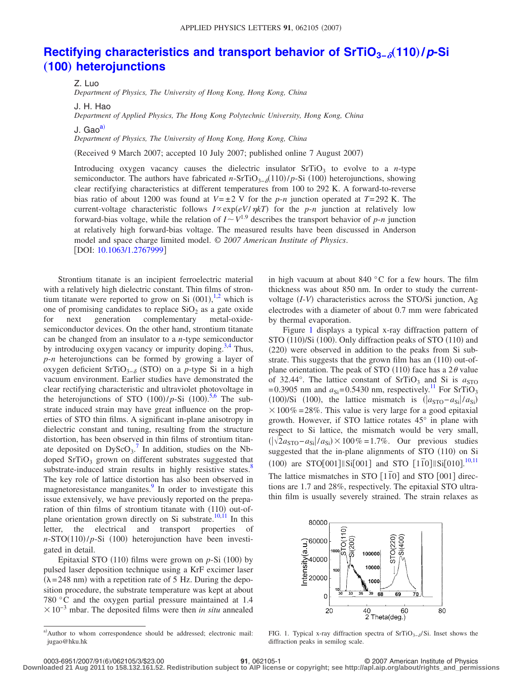## **[Rectifying characteristics and transport behavior of SrTiO3−](http://dx.doi.org/10.1063/1.2767999)**"**110**…**/***p***-Si** "**100**… **[heterojunctions](http://dx.doi.org/10.1063/1.2767999)**

Z. Luo

*Department of Physics, The University of Hong Kong, Hong Kong, China*

J. H. Hao

*Department of Applied Physics, The Hong Kong Polytechnic University, Hong Kong, China*

J. Gao<sup>a)</sup>

*Department of Physics, The University of Hong Kong, Hong Kong, China*

Received 9 March 2007; accepted 10 July 2007; published online 7 August 2007-

Introducing oxygen vacancy causes the dielectric insulator  $SrTiO<sub>3</sub>$  to evolve to a *n*-type semiconductor. The authors have fabricated *n*-SrTiO<sub>3-*8*</sub>(110)/*p*-Si (100) heterojunctions, showing clear rectifying characteristics at different temperatures from 100 to 292 K. A forward-to-reverse bias ratio of about 1200 was found at  $V = \pm 2$  V for the *p*-*n* junction operated at  $T = 292$  K. The current-voltage characteristic follows  $I \propto \exp(eV/\eta kT)$  for the *p*-*n* junction at relatively low forward-bias voltage, while the relation of  $I \sim V^{1.9}$  describes the transport behavior of *p-n* junction at relatively high forward-bias voltage. The measured results have been discussed in Anderson model and space charge limited model. © *2007 American Institute of Physics*. [DOI: [10.1063/1.2767999](http://dx.doi.org/10.1063/1.2767999)]

Strontium titanate is an incipient ferroelectric material with a relatively high dielectric constant. Thin films of strontium titanate were reported to grow on Si  $(001)$  $(001)$  $(001)$ ,<sup>1[,2](#page-2-1)</sup> which is one of promising candidates to replace  $SiO<sub>2</sub>$  as a gate oxide for next generation complementary metal-oxidesemiconductor devices. On the other hand, strontium titanate can be changed from an insulator to a *n*-type semiconductor by introducing oxygen vacancy or impurity doping.<sup>3[,4](#page-2-3)</sup> Thus, *p*-*n* heterojunctions can be formed by growing a layer of oxygen deficient SrTiO<sub>3−</sub><sup>8</sup> (STO) on a *p*-type Si in a high vacuum environment. Earlier studies have demonstrated the clear rectifying characteristic and ultraviolet photovoltage in the heterojunctions of STO  $(100)/p$ -Si  $(100).^{5,6}$  $(100).^{5,6}$  $(100).^{5,6}$  $(100).^{5,6}$  The substrate induced strain may have great influence on the properties of STO thin films. A significant in-plane anisotropy in dielectric constant and tuning, resulting from the structure distortion, has been observed in thin films of strontium titanate deposited on  $DyScO_3$ .<sup>[7](#page-2-0)</sup> In addition, studies on the Nbdoped  $SrTiO<sub>3</sub>$  grown on different substrates suggested that substrate-induced strain results in highly resistive states. $8$ The key role of lattice distortion has also been observed in magnetoresistance manganites.<sup>9</sup> In order to investigate this issue extensively, we have previously reported on the preparation of thin films of strontium titanate with (110) out-of-plane orientation grown directly on Si substrate.<sup>10,[11](#page-2-9)</sup> In this letter, the electrical and transport properties of  $n-\text{STO}(110)/p-\text{Si}$  (100) heterojunction have been investigated in detail.

Epitaxial STO  $(110)$  films were grown on  $p-Si$   $(100)$  by pulsed laser deposition technique using a KrF excimer laser  $(\lambda = 248 \text{ nm})$  with a repetition rate of 5 Hz. During the deposition procedure, the substrate temperature was kept at about 780 °C and the oxygen partial pressure maintained at 1.4  $\times 10^{-3}$  mbar. The deposited films were then *in situ* annealed in high vacuum at about 840 °C for a few hours. The film thickness was about 850 nm. In order to study the currentvoltage (*I-V*) characteristics across the STO/Si junction, Ag electrodes with a diameter of about 0.7 mm were fabricated by thermal evaporation.

Figure [1](#page-0-1) displays a typical x-ray diffraction pattern of STO (110)/Si (100). Only diffraction peaks of STO (110) and (220) were observed in addition to the peaks from Si substrate. This suggests that the grown film has an (110) out-ofplane orientation. The peak of STO (110) face has a  $2\theta$  value of 32.44°. The lattice constant of  $SrTiO<sub>3</sub>$  and Si is  $a<sub>STO</sub>$ =0.3905 nm and  $a_{Si}$ =0.5430 nm, respectively.<sup>11</sup> For SrTiO<sub>3</sub>  $(100)/\text{Si}$  (100), the lattice mismatch is  $(|a_{\text{STO}} - a_{\text{Si}}|/a_{\text{Si}})$  $\times$  100% = 28%. This value is very large for a good epitaxial growth. However, if STO lattice rotates 45° in plane with respect to Si lattice, the mismatch would be very small,  $\sqrt{2a_{\rm STO}-a_{\rm Si}/a_{\rm Si}} \times 100\% = 1.7\%$ . Our previous studies suggested that the in-plane alignments of STO (110) on Si  $(100)$  $(100)$  $(100)$  are STO[001]||Si[001] and STO  $[1\overline{1}0]$ ||Si[010].<sup>10[,11](#page-2-9)</sup> The lattice mismatches in STO  $[1\overline{1}0]$  and STO  $[001]$  directions are 1.7 and 28%, respectively. The epitaxial STO ultrathin film is usually severely strained. The strain relaxes as

<span id="page-0-1"></span>

FIG. 1. Typical x-ray diffraction spectra of SrTiO<sub>3− $\delta$ </sub>/Si. Inset shows the diffraction peaks in semilog scale.

**Downloaded 21 Aug 2011 to 158.132.161.52. Redistribution subject to AIP license or copyright; see http://apl.aip.org/about/rights\_and\_permissions**

<span id="page-0-0"></span>a)Author to whom correspondence should be addressed; electronic mail: jugao@hku.hk

**<sup>91</sup>**, 062105-1 © 2007 American Institute of Physics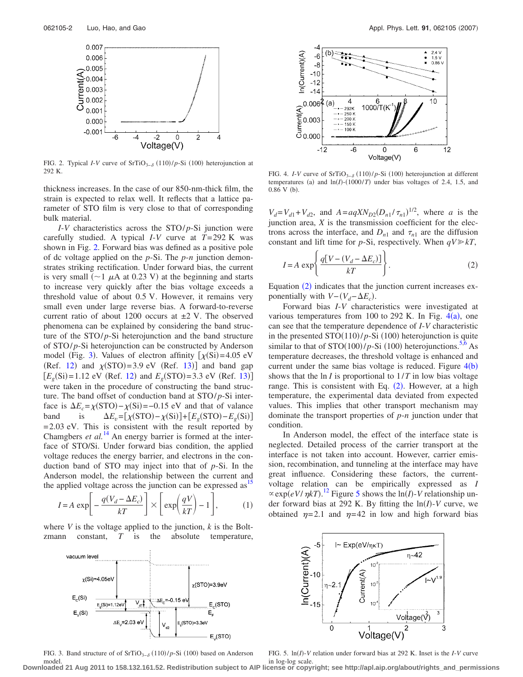<span id="page-1-0"></span>

FIG. 2. Typical *I*-*V* curve of  $SrTiO<sub>3-δ</sub>$  (110)/p-Si (100) heterojunction at 292 K.

thickness increases. In the case of our 850-nm-thick film, the strain is expected to relax well. It reflects that a lattice parameter of STO film is very close to that of corresponding bulk material.

*I*-*V* characteristics across the STO/p-Si junction were carefully studied. A typical *I*-*V* curve at *T*=292 K was shown in Fig. [2.](#page-1-0) Forward bias was defined as a positive pole of dc voltage applied on the *p*-Si. The *p*-*n* junction demonstrates striking rectification. Under forward bias, the current is very small ( $\sim$ 1  $\mu$ A at 0.23 V) at the beginning and starts to increase very quickly after the bias voltage exceeds a threshold value of about 0.5 V. However, it remains very small even under large reverse bias. A forward-to-reverse current ratio of about 1200 occurs at  $\pm 2$  V. The observed phenomena can be explained by considering the band structure of the  $STO/p-Si$  heterojunction and the band structure of STO/p-Si heterojunction can be constructed by Anderson model (Fig. [3](#page-1-1)). Values of electron affinity  $[\chi(Si)=4.05 \text{ eV}]$ (Ref. [12](#page-2-10)) and  $\chi(\text{STO}) = 3.9 \text{ eV}$  (Ref. [13](#page-2-11))] and band gap  $[E<sub>g</sub>(Si)=1.12 \text{ eV (Ref. 12) and } E<sub>g</sub>(STO)=3.3 \text{ eV (Ref. 13)}]$  $[E<sub>g</sub>(Si)=1.12 \text{ eV (Ref. 12) and } E<sub>g</sub>(STO)=3.3 \text{ eV (Ref. 13)}]$  $[E<sub>g</sub>(Si)=1.12 \text{ eV (Ref. 12) and } E<sub>g</sub>(STO)=3.3 \text{ eV (Ref. 13)}]$  $[E<sub>g</sub>(Si)=1.12 \text{ eV (Ref. 12) and } E<sub>g</sub>(STO)=3.3 \text{ eV (Ref. 13)}]$  $[E<sub>g</sub>(Si)=1.12 \text{ eV (Ref. 12) and } E<sub>g</sub>(STO)=3.3 \text{ eV (Ref. 13)}]$ were taken in the procedure of constructing the band structure. The band offset of conduction band at  $STO/p-Si$  interface is  $\Delta E_c = \chi(\text{STO}) - \chi(\text{Si}) = -0.15 \text{ eV}$  and that of valance band is  $\Delta E_v = [\chi(\text{STO}) - \chi(\text{Si})] + [E_g(\text{STO}) - E_g(\text{Si})]$  $=2.03$  eV. This is consistent with the result reported by Chamgbers *et al.*<sup>[14](#page-2-12)</sup> An energy barrier is formed at the interface of STO/Si. Under forward bias condition, the applied voltage reduces the energy barrier, and electrons in the conduction band of STO may inject into that of *p*-Si. In the Anderson model, the relationship between the current and the applied voltage across the junction can be expressed as<sup>15</sup>

$$
I = A \exp\left[-\frac{q(V_d - \Delta E_c)}{kT}\right] \times \left[\exp\left(\frac{qV}{kT}\right) - 1\right],\tag{1}
$$

<span id="page-1-1"></span>where *V* is the voltage applied to the junction, *k* is the Boltzmann constant, *T* is the absolute temperature,



model.

<span id="page-1-3"></span>

FIG. 4. *I*-*V* curve of  $SrTiO<sub>3-\delta</sub>$  (110)/p-Si (100) heterojunction at different temperatures (a) and  $\ln(I)$ - $(1000/T)$  under bias voltages of 2.4, 1.5, and  $0.86 V(b)$ .

<span id="page-1-2"></span> $V_d = V_{d1} + V_{d2}$ , and  $A = aqXN_{D2}(D_{n1}/\tau_{n1})^{1/2}$ , where *a* is the junction area,  $X$  is the transmission coefficient for the electrons across the interface, and  $D_{n1}$  and  $\tau_{n1}$  are the diffusion constant and lift time for *p*-Si, respectively. When  $qV \ge kT$ ,

$$
I = A \exp\left\{\frac{q[V - (V_d - \Delta E_c)]}{kT}\right\}.
$$
 (2)

Equation  $(2)$  $(2)$  $(2)$  indicates that the junction current increases exponentially with  $V - (V_d - \Delta E_c)$ .

Forward bias *I*-*V* characteristics were investigated at various temperatures from 100 to 292 K. In Fig.  $4(a)$  $4(a)$ , one can see that the temperature dependence of *I*-*V* characteristic in the presented  $STO(110)/p-Si(100)$  heterojunction is quite similar to that of  $STO(100)/p-Si(100)$  heterojunctions.<sup>5[,6](#page-2-5)</sup> As temperature decreases, the threshold voltage is enhanced and current under the same bias voltage is reduced. Figure  $4(b)$  $4(b)$ shows that the ln *I* is proportional to 1/*T* in low bias voltage range. This is consistent with Eq. ([2](#page-1-2)). However, at a high temperature, the experimental data deviated from expected values. This implies that other transport mechanism may dominate the transport properties of *p*-*n* junction under that condition.

In Anderson model, the effect of the interface state is neglected. Detailed process of the carrier transport at the interface is not taken into account. However, carrier emission, recombination, and tunneling at the interface may have great influence. Considering these factors, the currentvoltage relation can be empirically expressed as *I*  $\propto$  exp(eV/ $\eta kT$ ).<sup>[12](#page-2-10)</sup> Figure [5](#page-1-4) shows the ln(*I*)-V relationship under forward bias at 292 K. By fitting the  $ln(I)$ -*V* curve, we obtained  $\eta = 2.1$  and  $\eta = 42$  in low and high forward bias

<span id="page-1-4"></span>

FIG. 3. Band structure of of  $SrTiO<sub>3-\delta</sub>$  (110)/p-Si (100) based on Anderson FIG. 5. ln(*I*)-*V* relation under forward bias at 292 K. Inset is the *I*-*V* curve in log-log scale.

**Downloaded 21 Aug 2011 to 158.132.161.52. Redistribution subject to AIP license or copyright; see http://apl.aip.org/about/rights\_and\_permissions**